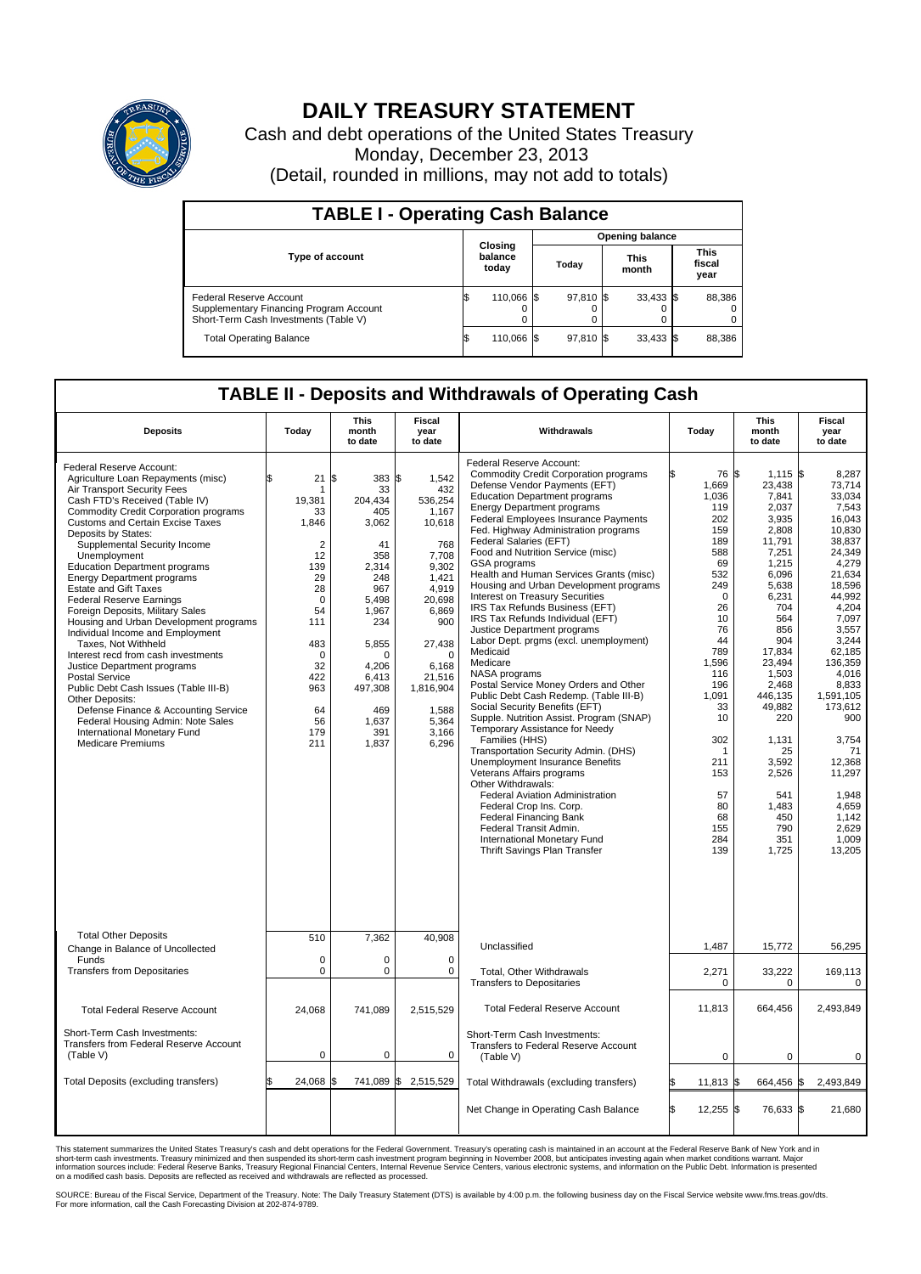

## **DAILY TREASURY STATEMENT**

Cash and debt operations of the United States Treasury Monday, December 23, 2013 (Detail, rounded in millions, may not add to totals)

| <b>TABLE I - Operating Cash Balance</b>                                                                     |                             |            |  |                        |  |                      |  |                               |  |  |  |
|-------------------------------------------------------------------------------------------------------------|-----------------------------|------------|--|------------------------|--|----------------------|--|-------------------------------|--|--|--|
|                                                                                                             |                             |            |  | <b>Opening balance</b> |  |                      |  |                               |  |  |  |
| <b>Type of account</b>                                                                                      | Closing<br>balance<br>today |            |  | Today                  |  | <b>This</b><br>month |  | <b>This</b><br>fiscal<br>year |  |  |  |
| Federal Reserve Account<br>Supplementary Financing Program Account<br>Short-Term Cash Investments (Table V) |                             | 110,066 \$ |  | 97,810 \$              |  | $33,433$ \$          |  | 88,386                        |  |  |  |
| <b>Total Operating Balance</b>                                                                              | ıъ                          | 110,066 \$ |  | 97,810 \$              |  | $33,433$ \$          |  | 88,386                        |  |  |  |

## **TABLE II - Deposits and Withdrawals of Operating Cash**

| <b>Deposits</b>                                                                                                                                                                                                                                                                                                                                                                                                                                                                                                                                                                                                                                                                                                                                                                                                                                                                               | Today                                                                                                                                                                     | This<br>month<br>to date                                                                                                                                                              | Fiscal<br>year<br>to date                                                                                                                                                                                 | Withdrawals                                                                                                                                                                                                                                                                                                                                                                                                                                                                                                                                                                                                                                                                                                                                                                                                                                                                                                                                                                                                                                                                                                                                                                                                                    | Today                                                                                                                                                                                                                             | <b>This</b><br>month<br>to date                                                                                                                                                                                                                                                                       | Fiscal<br>year<br>to date                                                                                                                                                                                                                                                                                             |
|-----------------------------------------------------------------------------------------------------------------------------------------------------------------------------------------------------------------------------------------------------------------------------------------------------------------------------------------------------------------------------------------------------------------------------------------------------------------------------------------------------------------------------------------------------------------------------------------------------------------------------------------------------------------------------------------------------------------------------------------------------------------------------------------------------------------------------------------------------------------------------------------------|---------------------------------------------------------------------------------------------------------------------------------------------------------------------------|---------------------------------------------------------------------------------------------------------------------------------------------------------------------------------------|-----------------------------------------------------------------------------------------------------------------------------------------------------------------------------------------------------------|--------------------------------------------------------------------------------------------------------------------------------------------------------------------------------------------------------------------------------------------------------------------------------------------------------------------------------------------------------------------------------------------------------------------------------------------------------------------------------------------------------------------------------------------------------------------------------------------------------------------------------------------------------------------------------------------------------------------------------------------------------------------------------------------------------------------------------------------------------------------------------------------------------------------------------------------------------------------------------------------------------------------------------------------------------------------------------------------------------------------------------------------------------------------------------------------------------------------------------|-----------------------------------------------------------------------------------------------------------------------------------------------------------------------------------------------------------------------------------|-------------------------------------------------------------------------------------------------------------------------------------------------------------------------------------------------------------------------------------------------------------------------------------------------------|-----------------------------------------------------------------------------------------------------------------------------------------------------------------------------------------------------------------------------------------------------------------------------------------------------------------------|
| Federal Reserve Account:<br>Agriculture Loan Repayments (misc)<br>Air Transport Security Fees<br>Cash FTD's Received (Table IV)<br><b>Commodity Credit Corporation programs</b><br><b>Customs and Certain Excise Taxes</b><br>Deposits by States:<br>Supplemental Security Income<br>Unemployment<br><b>Education Department programs</b><br><b>Energy Department programs</b><br><b>Estate and Gift Taxes</b><br><b>Federal Reserve Earnings</b><br>Foreign Deposits, Military Sales<br>Housing and Urban Development programs<br>Individual Income and Employment<br>Taxes. Not Withheld<br>Interest recd from cash investments<br>Justice Department programs<br><b>Postal Service</b><br>Public Debt Cash Issues (Table III-B)<br>Other Deposits:<br>Defense Finance & Accounting Service<br>Federal Housing Admin: Note Sales<br>International Monetary Fund<br><b>Medicare Premiums</b> | \$<br>21<br>19,381<br>33<br>1,846<br>$\overline{2}$<br>12<br>139<br>29<br>28<br>$\mathbf 0$<br>54<br>111<br>483<br>$\Omega$<br>32<br>422<br>963<br>64<br>56<br>179<br>211 | 383 \$<br>\$<br>33<br>204,434<br>405<br>3,062<br>41<br>358<br>2,314<br>248<br>967<br>5,498<br>1.967<br>234<br>5,855<br>O<br>4,206<br>6,413<br>497,308<br>469<br>1,637<br>391<br>1,837 | 1,542<br>432<br>536,254<br>1.167<br>10,618<br>768<br>7,708<br>9,302<br>1,421<br>4,919<br>20,698<br>6,869<br>900<br>27,438<br>$\Omega$<br>6,168<br>21,516<br>1,816,904<br>1,588<br>5,364<br>3.166<br>6,296 | Federal Reserve Account:<br><b>Commodity Credit Corporation programs</b><br>Defense Vendor Payments (EFT)<br><b>Education Department programs</b><br><b>Energy Department programs</b><br><b>Federal Employees Insurance Payments</b><br>Fed. Highway Administration programs<br>Federal Salaries (EFT)<br>Food and Nutrition Service (misc)<br>GSA programs<br>Health and Human Services Grants (misc)<br>Housing and Urban Development programs<br>Interest on Treasury Securities<br>IRS Tax Refunds Business (EFT)<br>IRS Tax Refunds Individual (EFT)<br>Justice Department programs<br>Labor Dept. prgms (excl. unemployment)<br>Medicaid<br>Medicare<br>NASA programs<br>Postal Service Money Orders and Other<br>Public Debt Cash Redemp. (Table III-B)<br>Social Security Benefits (EFT)<br>Supple. Nutrition Assist. Program (SNAP)<br>Temporary Assistance for Needy<br>Families (HHS)<br>Transportation Security Admin. (DHS)<br>Unemployment Insurance Benefits<br>Veterans Affairs programs<br>Other Withdrawals:<br><b>Federal Aviation Administration</b><br>Federal Crop Ins. Corp.<br><b>Federal Financing Bank</b><br>Federal Transit Admin.<br>International Monetary Fund<br>Thrift Savings Plan Transfer | 1,669<br>1,036<br>119<br>202<br>159<br>189<br>588<br>69<br>532<br>249<br>$\mathbf 0$<br>26<br>10<br>76<br>44<br>789<br>1,596<br>116<br>196<br>1.091<br>33<br>10<br>302<br>-1<br>211<br>153<br>57<br>80<br>68<br>155<br>284<br>139 | $1,115$ \$<br>76 \$<br>23,438<br>7,841<br>2,037<br>3.935<br>2,808<br>11,791<br>7,251<br>1,215<br>6,096<br>5,638<br>6,231<br>704<br>564<br>856<br>904<br>17,834<br>23.494<br>1,503<br>2,468<br>446.135<br>49,882<br>220<br>1,131<br>25<br>3,592<br>2,526<br>541<br>1,483<br>450<br>790<br>351<br>1,725 | 8,287<br>73,714<br>33.034<br>7,543<br>16.043<br>10,830<br>38.837<br>24,349<br>4,279<br>21,634<br>18,596<br>44,992<br>4,204<br>7.097<br>3,557<br>3,244<br>62.185<br>136,359<br>4,016<br>8,833<br>1.591.105<br>173,612<br>900<br>3,754<br>71<br>12,368<br>11,297<br>1.948<br>4,659<br>1,142<br>2,629<br>1,009<br>13,205 |
| <b>Total Other Deposits</b>                                                                                                                                                                                                                                                                                                                                                                                                                                                                                                                                                                                                                                                                                                                                                                                                                                                                   | 510                                                                                                                                                                       | 7,362                                                                                                                                                                                 | 40,908                                                                                                                                                                                                    | Unclassified                                                                                                                                                                                                                                                                                                                                                                                                                                                                                                                                                                                                                                                                                                                                                                                                                                                                                                                                                                                                                                                                                                                                                                                                                   | 1,487                                                                                                                                                                                                                             | 15,772                                                                                                                                                                                                                                                                                                | 56,295                                                                                                                                                                                                                                                                                                                |
| Change in Balance of Uncollected<br>Funds<br><b>Transfers from Depositaries</b>                                                                                                                                                                                                                                                                                                                                                                                                                                                                                                                                                                                                                                                                                                                                                                                                               | $\mathbf 0$<br>$\mathbf 0$                                                                                                                                                | 0<br>0                                                                                                                                                                                | $\mathbf 0$<br>0                                                                                                                                                                                          | Total, Other Withdrawals                                                                                                                                                                                                                                                                                                                                                                                                                                                                                                                                                                                                                                                                                                                                                                                                                                                                                                                                                                                                                                                                                                                                                                                                       | 2,271                                                                                                                                                                                                                             | 33,222                                                                                                                                                                                                                                                                                                | 169,113                                                                                                                                                                                                                                                                                                               |
|                                                                                                                                                                                                                                                                                                                                                                                                                                                                                                                                                                                                                                                                                                                                                                                                                                                                                               |                                                                                                                                                                           |                                                                                                                                                                                       |                                                                                                                                                                                                           | <b>Transfers to Depositaries</b>                                                                                                                                                                                                                                                                                                                                                                                                                                                                                                                                                                                                                                                                                                                                                                                                                                                                                                                                                                                                                                                                                                                                                                                               | $\mathbf 0$                                                                                                                                                                                                                       | $\mathbf 0$                                                                                                                                                                                                                                                                                           | 0                                                                                                                                                                                                                                                                                                                     |
| <b>Total Federal Reserve Account</b>                                                                                                                                                                                                                                                                                                                                                                                                                                                                                                                                                                                                                                                                                                                                                                                                                                                          | 24,068                                                                                                                                                                    | 741,089                                                                                                                                                                               | 2,515,529                                                                                                                                                                                                 | <b>Total Federal Reserve Account</b>                                                                                                                                                                                                                                                                                                                                                                                                                                                                                                                                                                                                                                                                                                                                                                                                                                                                                                                                                                                                                                                                                                                                                                                           | 11,813                                                                                                                                                                                                                            | 664,456                                                                                                                                                                                                                                                                                               | 2,493,849                                                                                                                                                                                                                                                                                                             |
| Short-Term Cash Investments:<br>Transfers from Federal Reserve Account<br>(Table V)                                                                                                                                                                                                                                                                                                                                                                                                                                                                                                                                                                                                                                                                                                                                                                                                           | $\mathbf 0$                                                                                                                                                               | 0                                                                                                                                                                                     | $\mathbf 0$                                                                                                                                                                                               | Short-Term Cash Investments:<br>Transfers to Federal Reserve Account<br>(Table V)                                                                                                                                                                                                                                                                                                                                                                                                                                                                                                                                                                                                                                                                                                                                                                                                                                                                                                                                                                                                                                                                                                                                              | $\mathbf 0$                                                                                                                                                                                                                       | $\mathbf 0$                                                                                                                                                                                                                                                                                           | $\mathbf 0$                                                                                                                                                                                                                                                                                                           |
| Total Deposits (excluding transfers)                                                                                                                                                                                                                                                                                                                                                                                                                                                                                                                                                                                                                                                                                                                                                                                                                                                          | \$<br>24,068                                                                                                                                                              | l\$                                                                                                                                                                                   | 741,089 \$2,515,529                                                                                                                                                                                       | Total Withdrawals (excluding transfers)                                                                                                                                                                                                                                                                                                                                                                                                                                                                                                                                                                                                                                                                                                                                                                                                                                                                                                                                                                                                                                                                                                                                                                                        | $11,813$ \$                                                                                                                                                                                                                       | 664,456 \$                                                                                                                                                                                                                                                                                            | 2,493,849                                                                                                                                                                                                                                                                                                             |
|                                                                                                                                                                                                                                                                                                                                                                                                                                                                                                                                                                                                                                                                                                                                                                                                                                                                                               |                                                                                                                                                                           |                                                                                                                                                                                       |                                                                                                                                                                                                           | Net Change in Operating Cash Balance                                                                                                                                                                                                                                                                                                                                                                                                                                                                                                                                                                                                                                                                                                                                                                                                                                                                                                                                                                                                                                                                                                                                                                                           | ß.<br>12,255 \$                                                                                                                                                                                                                   | 76,633 \$                                                                                                                                                                                                                                                                                             | 21,680                                                                                                                                                                                                                                                                                                                |

This statement summarizes the United States Treasury's cash and debt operations for the Federal Government. Treasury's operating cash is maintained in an account at the Federal Reserve Bank of New York and in<br>short-term ca

SOURCE: Bureau of the Fiscal Service, Department of the Treasury. Note: The Daily Treasury Statement (DTS) is available by 4:00 p.m. the following business day on the Fiscal Service website www.fms.treas.gov/dts.<br>For more